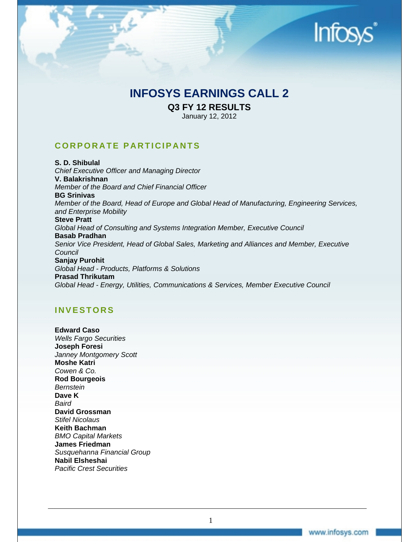## **Infos**

### **INFOSYS EARNINGS CALL 2**

**Q3 FY 12 RESULTS** 

January 12, 2012

### **CORPORATE PARTICIPANTS**

**S. D. Shibulal**  *Chief Executive Officer and Managing Director*  **V. Balakrishnan**  *Member of the Board and Chief Financial Officer*  **BG Srinivas**  *Member of the Board, Head of Europe and Global Head of Manufacturing, Engineering Services, and Enterprise Mobility*  **Steve Pratt**  *Global Head of Consulting and Systems Integration Member, Executive Council*  **Basab Pradhan**  *Senior Vice President, Head of Global Sales, Marketing and Alliances and Member, Executive Council*  **Sanjay Purohit**  *Global Head - Products, Platforms & Solutions*  **Prasad Thrikutam**  *Global Head - Energy, Utilities, Communications & Services, Member Executive Council* 

### **INVESTORS**

**Edward Caso**  *Wells Fargo Securities*  **Joseph Foresi**  *Janney Montgomery Scott*  **Moshe Katri**  *Cowen & Co.*  **Rod Bourgeois**  *Bernstein*  **Dave K**  *Baird*  **David Grossman**  *Stifel Nicolaus*  **Keith Bachman**  *BMO Capital Markets*  **James Friedman**  *Susquehanna Financial Group*  **Nabil Elsheshai**  *Pacific Crest Securities* 

1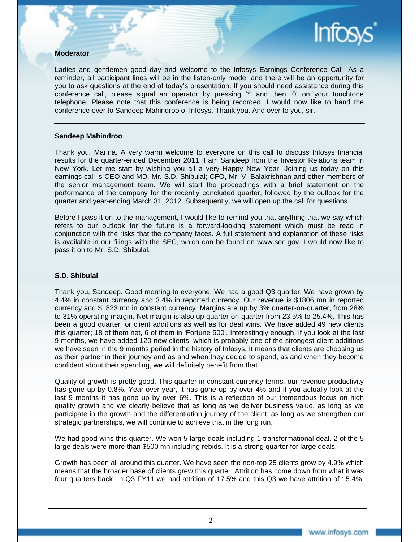#### **Moderator**

Ladies and gentlemen good day and welcome to the Infosys Earnings Conference Call. As a reminder, all participant lines will be in the listen**-**only mode, and there will be an opportunity for you to ask questions at the end of today's presentation. If you should need assistance during this conference call, please signal an operator by pressing '\*' and then '0' on your touchtone telephone. Please note that this conference is being recorded. I would now like to hand the conference over to Sandeep Mahindroo of Infosys. Thank you. And over to you, sir.

#### **Sandeep Mahindroo**

Thank you, Marina. A very warm welcome to everyone on this call to discuss Infosys financial results for the quarter-ended December 2011. I am Sandeep from the Investor Relations team in New York. Let me start by wishing you all a very Happy New Year. Joining us today on this earnings call is CEO and MD, Mr. S.D. Shibulal; CFO, Mr. V. Balakrishnan and other members of the senior management team. We will start the proceedings with a brief statement on the performance of the company for the recently concluded quarter, followed by the outlook for the quarter and year-ending March 31, 2012. Subsequently, we will open up the call for questions.

Before I pass it on to the management, I would like to remind you that anything that we say which refers to our outlook for the future is a forward-looking statement which must be read in conjunction with the risks that the company faces. A full statement and explanation of these risks is available in our filings with the SEC, which can be found on www.sec.gov. I would now like to pass it on to Mr. S.D. Shibulal.

#### **S.D. Shibulal**

Thank you, Sandeep. Good morning to everyone. We had a good Q3 quarter. We have grown by 4.4% in constant currency and 3.4% in reported currency. Our revenue is \$1806 mn in reported currency and \$1823 mn in constant currency. Margins are up by 3% quarter-on-quarter, from 28% to 31% operating margin. Net margin is also up quarter-on-quarter from 23.5% to 25.4%. This has been a good quarter for client additions as well as for deal wins. We have added 49 new clients this quarter; 18 of them net, 6 of them in 'Fortune 500'. Interestingly enough, if you look at the last 9 months, we have added 120 new clients, which is probably one of the strongest client additions we have seen in the 9 months period in the history of Infosys. It means that clients are choosing us as their partner in their journey and as and when they decide to spend, as and when they become confident about their spending, we will definitely benefit from that.

Quality of growth is pretty good. This quarter in constant currency terms, our revenue productivity has gone up by 0.8%. Year-over-year, it has gone up by over 4% and if you actually look at the last 9 months it has gone up by over 6%. This is a reflection of our tremendous focus on high quality growth and we clearly believe that as long as we deliver business value, as long as we participate in the growth and the differentiation journey of the client, as long as we strengthen our strategic partnerships, we will continue to achieve that in the long run.

We had good wins this quarter. We won 5 large deals including 1 transformational deal. 2 of the 5 large deals were more than \$500 mn including rebids. It is a strong quarter for large deals.

Growth has been all around this quarter. We have seen the non-top 25 clients grow by 4.9% which means that the broader base of clients grew this quarter. Attrition has come down from what it was four quarters back. In Q3 FY11 we had attrition of 17.5% and this Q3 we have attrition of 15.4%.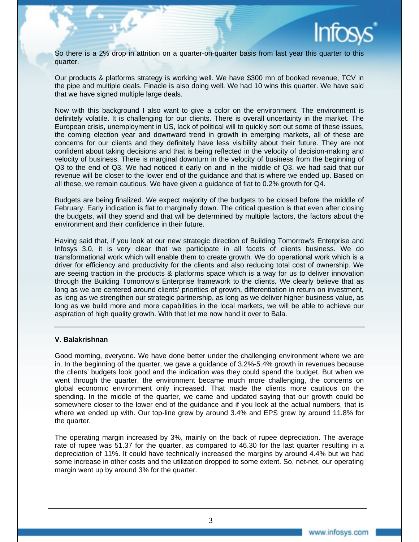

So there is a 2% drop in attrition on a quarter-on-quarter basis from last year this quarter to this quarter.

Our products & platforms strategy is working well. We have \$300 mn of booked revenue, TCV in the pipe and multiple deals. Finacle is also doing well. We had 10 wins this quarter. We have said that we have signed multiple large deals.

Now with this background I also want to give a color on the environment. The environment is definitely volatile. It is challenging for our clients. There is overall uncertainty in the market. The European crisis, unemployment in US, lack of political will to quickly sort out some of these issues, the coming election year and downward trend in growth in emerging markets, all of these are concerns for our clients and they definitely have less visibility about their future. They are not confident about taking decisions and that is being reflected in the velocity of decision-making and velocity of business. There is marginal downturn in the velocity of business from the beginning of Q3 to the end of Q3. We had noticed it early on and in the middle of Q3, we had said that our revenue will be closer to the lower end of the guidance and that is where we ended up. Based on all these, we remain cautious. We have given a guidance of flat to 0.2% growth for Q4.

Budgets are being finalized. We expect majority of the budgets to be closed before the middle of February. Early indication is flat to marginally down. The critical question is that even after closing the budgets, will they spend and that will be determined by multiple factors, the factors about the environment and their confidence in their future.

Having said that, if you look at our new strategic direction of Building Tomorrow's Enterprise and Infosys 3.0, it is very clear that we participate in all facets of clients business. We do transformational work which will enable them to create growth. We do operational work which is a driver for efficiency and productivity for the clients and also reducing total cost of ownership. We are seeing traction in the products & platforms space which is a way for us to deliver innovation through the Building Tomorrow's Enterprise framework to the clients. We clearly believe that as long as we are centered around clients' priorities of growth, differentiation in return on investment, as long as we strengthen our strategic partnership, as long as we deliver higher business value, as long as we build more and more capabilities in the local markets, we will be able to achieve our aspiration of high quality growth. With that let me now hand it over to Bala.

#### **V. Balakrishnan**

Good morning, everyone. We have done better under the challenging environment where we are in. In the beginning of the quarter, we gave a guidance of 3.2%-5.4% growth in revenues because the clients' budgets look good and the indication was they could spend the budget. But when we went through the quarter, the environment became much more challenging, the concerns on global economic environment only increased. That made the clients more cautious on the spending. In the middle of the quarter, we came and updated saying that our growth could be somewhere closer to the lower end of the guidance and if you look at the actual numbers, that is where we ended up with. Our top-line grew by around 3.4% and EPS grew by around 11.8% for the quarter.

The operating margin increased by 3%, mainly on the back of rupee depreciation. The average rate of rupee was 51.37 for the quarter, as compared to 46.30 for the last quarter resulting in a depreciation of 11%. It could have technically increased the margins by around 4.4% but we had some increase in other costs and the utilization dropped to some extent. So, net**-**net, our operating margin went up by around 3% for the quarter.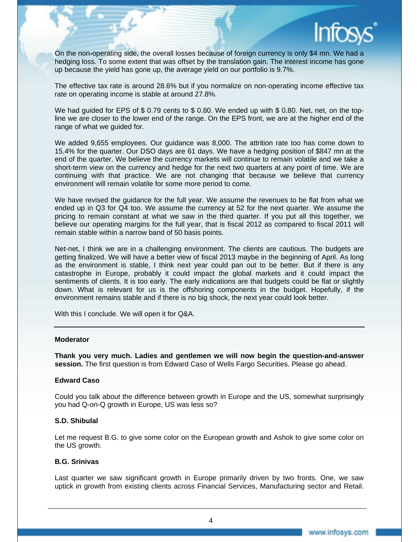

On the non**-**operating side, the overall losses because of foreign currency is only \$4 mn. We had a hedging loss. To some extent that was offset by the translation gain. The interest income has gone up because the yield has gone up, the average yield on our portfolio is 9.7%.

The effective tax rate is around 28.6% but if you normalize on non-operating income effective tax rate on operating income is stable at around 27.8%.

We had guided for EPS of \$0.79 cents to \$0.80. We ended up with \$0.80. Net, net, on the topline we are closer to the lower end of the range. On the EPS front, we are at the higher end of the range of what we guided for.

We added 9,655 employees. Our guidance was 8,000. The attrition rate too has come down to 15.4% for the quarter. Our DSO days are 61 days. We have a hedging position of \$847 mn at the end of the quarter. We believe the currency markets will continue to remain volatile and we take a short-term view on the currency and hedge for the next two quarters at any point of time. We are continuing with that practice. We are not changing that because we believe that currency environment will remain volatile for some more period to come.

We have revised the guidance for the full year. We assume the revenues to be flat from what we ended up in Q3 for Q4 too. We assume the currency at 52 for the next quarter. We assume the pricing to remain constant at what we saw in the third quarter. If you put all this together, we believe our operating margins for the full year, that is fiscal 2012 as compared to fiscal 2011 will remain stable within a narrow band of 50 basis points.

Net-net, I think we are in a challenging environment. The clients are cautious. The budgets are getting finalized. We will have a better view of fiscal 2013 maybe in the beginning of April. As long as the environment is stable, I think next year could pan out to be better. But if there is any catastrophe in Europe, probably it could impact the global markets and it could impact the sentiments of clients. It is too early. The early indications are that budgets could be flat or slightly down. What is relevant for us is the offshoring components in the budget. Hopefully, if the environment remains stable and if there is no big shock, the next year could look better.

With this I conclude. We will open it for Q&A.

#### **Moderator**

**Thank you very much. Ladies and gentlemen we will now begin the question-and-answer session.** The first question is from Edward Caso of Wells Fargo Securities. Please go ahead.

#### **Edward Caso**

Could you talk about the difference between growth in Europe and the US, somewhat surprisingly you had Q-on-Q growth in Europe, US was less so?

#### **S.D. Shibulal**

Let me request B.G. to give some color on the European growth and Ashok to give some color on the US growth.

#### **B.G. Srinivas**

Last quarter we saw significant growth in Europe primarily driven by two fronts. One, we saw uptick in growth from existing clients across Financial Services, Manufacturing sector and Retail.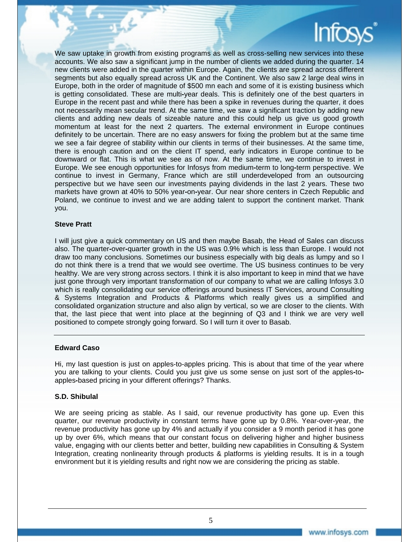We saw uptake in growth from existing programs as well as cross-selling new services into these accounts. We also saw a significant jump in the number of clients we added during the quarter. 14 new clients were added in the quarter within Europe. Again, the clients are spread across different segments but also equally spread across UK and the Continent. We also saw 2 large deal wins in Europe, both in the order of magnitude of \$500 mn each and some of it is existing business which is getting consolidated. These are multi**-**year deals. This is definitely one of the best quarters in Europe in the recent past and while there has been a spike in revenues during the quarter, it does not necessarily mean secular trend. At the same time, we saw a significant traction by adding new clients and adding new deals of sizeable nature and this could help us give us good growth momentum at least for the next 2 quarters. The external environment in Europe continues definitely to be uncertain. There are no easy answers for fixing the problem but at the same time we see a fair degree of stability within our clients in terms of their businesses. At the same time, there is enough caution and on the client IT spend, early indicators in Europe continue to be downward or flat. This is what we see as of now. At the same time, we continue to invest in Europe. We see enough opportunities for Infosys from medium**-**term to long**-**term perspective. We continue to invest in Germany, France which are still underdeveloped from an outsourcing perspective but we have seen our investments paying dividends in the last 2 years. These two markets have grown at 40% to 50% year**-**on**-**year. Our near shore centers in Czech Republic and Poland, we continue to invest and we are adding talent to support the continent market. Thank you.

#### **Steve Pratt**

I will just give a quick commentary on US and then maybe Basab, the Head of Sales can discuss also. The quarter**-**over**-**quarter growth in the US was 0.9% which is less than Europe. I would not draw too many conclusions. Sometimes our business especially with big deals as lumpy and so I do not think there is a trend that we would see overtime. The US business continues to be very healthy. We are very strong across sectors. I think it is also important to keep in mind that we have just gone through very important transformation of our company to what we are calling Infosys 3.0 which is really consolidating our service offerings around business IT Services, around Consulting & Systems Integration and Products & Platforms which really gives us a simplified and consolidated organization structure and also align by vertical, so we are closer to the clients. With that, the last piece that went into place at the beginning of Q3 and I think we are very well positioned to compete strongly going forward. So I will turn it over to Basab.

#### **Edward Caso**

Hi, my last question is just on apples-to-apples pricing. This is about that time of the year where you are talking to your clients. Could you just give us some sense on just sort of the apples**-**toapples**-**based pricing in your different offerings? Thanks.

#### **S.D. Shibulal**

We are seeing pricing as stable. As I said, our revenue productivity has gone up. Even this quarter, our revenue productivity in constant terms have gone up by 0.8%. Year-over-year, the revenue productivity has gone up by 4% and actually if you consider a 9 month period it has gone up by over 6%, which means that our constant focus on delivering higher and higher business value, engaging with our clients better and better, building new capabilities in Consulting & System Integration, creating nonlinearity through products & platforms is yielding results. It is in a tough environment but it is yielding results and right now we are considering the pricing as stable.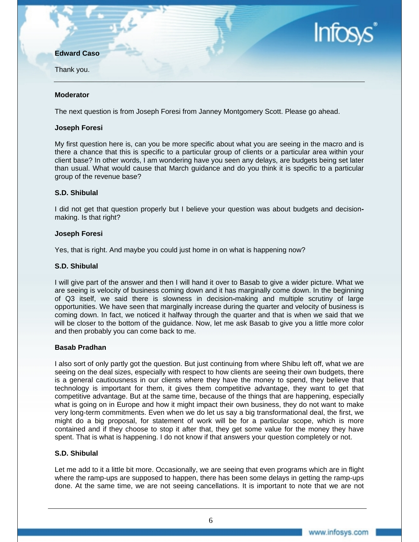#### **Edward Caso**

Thank you.

#### **Moderator**

The next question is from Joseph Foresi from Janney Montgomery Scott. Please go ahead.

#### **Joseph Foresi**

My first question here is, can you be more specific about what you are seeing in the macro and is there a chance that this is specific to a particular group of clients or a particular area within your client base? In other words, I am wondering have you seen any delays, are budgets being set later than usual. What would cause that March guidance and do you think it is specific to a particular group of the revenue base?

#### **S.D. Shibulal**

I did not get that question properly but I believe your question was about budgets and decisionmaking. Is that right?

#### **Joseph Foresi**

Yes, that is right. And maybe you could just home in on what is happening now?

#### **S.D. Shibulal**

I will give part of the answer and then I will hand it over to Basab to give a wider picture. What we are seeing is velocity of business coming down and it has marginally come down. In the beginning of Q3 itself, we said there is slowness in decision**-**making and multiple scrutiny of large opportunities. We have seen that marginally increase during the quarter and velocity of business is coming down. In fact, we noticed it halfway through the quarter and that is when we said that we will be closer to the bottom of the guidance. Now, let me ask Basab to give you a little more color and then probably you can come back to me.

#### **Basab Pradhan**

I also sort of only partly got the question. But just continuing from where Shibu left off, what we are seeing on the deal sizes, especially with respect to how clients are seeing their own budgets, there is a general cautiousness in our clients where they have the money to spend, they believe that technology is important for them, it gives them competitive advantage, they want to get that competitive advantage. But at the same time, because of the things that are happening, especially what is going on in Europe and how it might impact their own business, they do not want to make very long-term commitments. Even when we do let us say a big transformational deal, the first, we might do a big proposal, for statement of work will be for a particular scope, which is more contained and if they choose to stop it after that, they get some value for the money they have spent. That is what is happening. I do not know if that answers your question completely or not.

#### **S.D. Shibulal**

Let me add to it a little bit more. Occasionally, we are seeing that even programs which are in flight where the ramp-ups are supposed to happen, there has been some delays in getting the ramp-ups done. At the same time, we are not seeing cancellations. It is important to note that we are not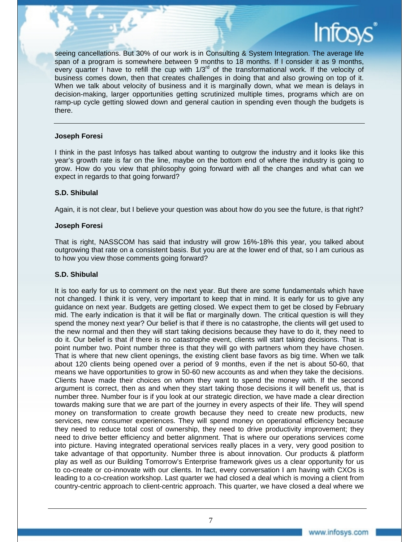

seeing cancellations. But 30% of our work is in Consulting & System Integration. The average life span of a program is somewhere between 9 months to 18 months. If I consider it as 9 months, every quarter I have to refill the cup with  $1/3^{rd}$  of the transformational work. If the velocity of business comes down, then that creates challenges in doing that and also growing on top of it. When we talk about velocity of business and it is marginally down, what we mean is delays in decision-making, larger opportunities getting scrutinized multiple times, programs which are on ramp-up cycle getting slowed down and general caution in spending even though the budgets is there.

#### **Joseph Foresi**

I think in the past Infosys has talked about wanting to outgrow the industry and it looks like this year's growth rate is far on the line, maybe on the bottom end of where the industry is going to grow. How do you view that philosophy going forward with all the changes and what can we expect in regards to that going forward?

#### **S.D. Shibulal**

Again, it is not clear, but I believe your question was about how do you see the future, is that right?

#### **Joseph Foresi**

That is right, NASSCOM has said that industry will grow 16%-18% this year, you talked about outgrowing that rate on a consistent basis. But you are at the lower end of that, so I am curious as to how you view those comments going forward?

#### **S.D. Shibulal**

It is too early for us to comment on the next year. But there are some fundamentals which have not changed. I think it is very, very important to keep that in mind. It is early for us to give any guidance on next year. Budgets are getting closed. We expect them to get be closed by February mid. The early indication is that it will be flat or marginally down. The critical question is will they spend the money next year? Our belief is that if there is no catastrophe, the clients will get used to the new normal and then they will start taking decisions because they have to do it, they need to do it. Our belief is that if there is no catastrophe event, clients will start taking decisions. That is point number two. Point number three is that they will go with partners whom they have chosen. That is where that new client openings, the existing client base favors as big time. When we talk about 120 clients being opened over a period of 9 months, even if the net is about 50-60, that means we have opportunities to grow in 50-60 new accounts as and when they take the decisions. Clients have made their choices on whom they want to spend the money with. If the second argument is correct, then as and when they start taking those decisions it will benefit us, that is number three. Number four is if you look at our strategic direction, we have made a clear direction towards making sure that we are part of the journey in every aspects of their life. They will spend money on transformation to create growth because they need to create new products, new services, new consumer experiences. They will spend money on operational efficiency because they need to reduce total cost of ownership, they need to drive productivity improvement; they need to drive better efficiency and better alignment. That is where our operations services come into picture. Having integrated operational services really places in a very, very good position to take advantage of that opportunity. Number three is about innovation. Our products & platform play as well as our Building Tomorrow's Enterprise framework gives us a clear opportunity for us to co-create or co-innovate with our clients. In fact, every conversation I am having with CXOs is leading to a co-creation workshop. Last quarter we had closed a deal which is moving a client from country-centric approach to client-centric approach. This quarter, we have closed a deal where we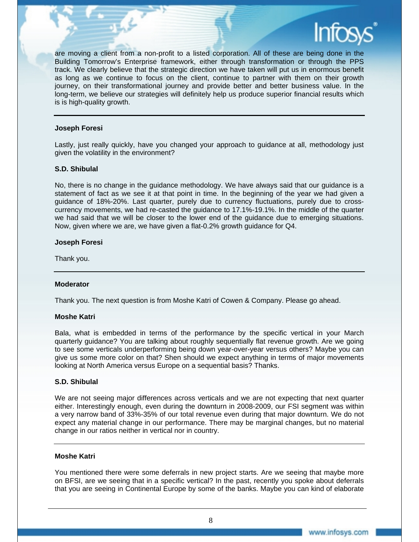are moving a client from a non-profit to a listed corporation. All of these are being done in the Building Tomorrow's Enterprise framework, either through transformation or through the PPS track. We clearly believe that the strategic direction we have taken will put us in enormous benefit as long as we continue to focus on the client, continue to partner with them on their growth journey, on their transformational journey and provide better and better business value. In the long-term, we believe our strategies will definitely help us produce superior financial results which is is high-quality growth.

#### **Joseph Foresi**

Lastly, just really quickly, have you changed your approach to guidance at all, methodology just given the volatility in the environment?

#### **S.D. Shibulal**

No, there is no change in the guidance methodology. We have always said that our guidance is a statement of fact as we see it at that point in time. In the beginning of the year we had given a guidance of 18%-20%. Last quarter, purely due to currency fluctuations, purely due to crosscurrency movements, we had re-casted the guidance to 17.1%-19.1%. In the middle of the quarter we had said that we will be closer to the lower end of the guidance due to emerging situations. Now, given where we are, we have given a flat-0.2% growth guidance for Q4.

#### **Joseph Foresi**

Thank you.

#### **Moderator**

Thank you. The next question is from Moshe Katri of Cowen & Company. Please go ahead.

#### **Moshe Katri**

Bala, what is embedded in terms of the performance by the specific vertical in your March quarterly guidance? You are talking about roughly sequentially flat revenue growth. Are we going to see some verticals underperforming being down year-over-year versus others? Maybe you can give us some more color on that? Shen should we expect anything in terms of major movements looking at North America versus Europe on a sequential basis? Thanks.

#### **S.D. Shibulal**

We are not seeing major differences across verticals and we are not expecting that next quarter either. Interestingly enough, even during the downturn in 2008-2009, our FSI segment was within a very narrow band of 33%-35% of our total revenue even during that major downturn. We do not expect any material change in our performance. There may be marginal changes, but no material change in our ratios neither in vertical nor in country.

#### **Moshe Katri**

You mentioned there were some deferrals in new project starts. Are we seeing that maybe more on BFSI, are we seeing that in a specific vertical? In the past, recently you spoke about deferrals that you are seeing in Continental Europe by some of the banks. Maybe you can kind of elaborate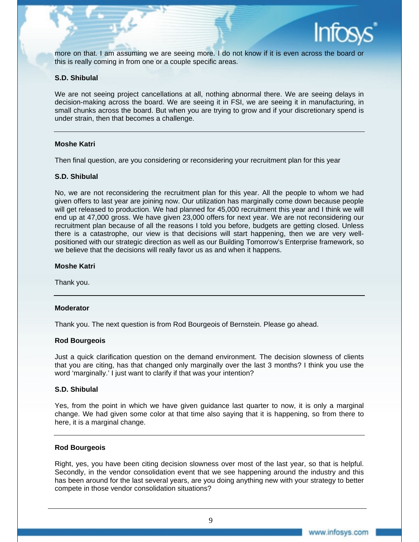

more on that. I am assuming we are seeing more. I do not know if it is even across the board or this is really coming in from one or a couple specific areas.

#### **S.D. Shibulal**

We are not seeing project cancellations at all, nothing abnormal there. We are seeing delays in decision-making across the board. We are seeing it in FSI, we are seeing it in manufacturing, in small chunks across the board. But when you are trying to grow and if your discretionary spend is under strain, then that becomes a challenge.

#### **Moshe Katri**

Then final question, are you considering or reconsidering your recruitment plan for this year

#### **S.D. Shibulal**

No, we are not reconsidering the recruitment plan for this year. All the people to whom we had given offers to last year are joining now. Our utilization has marginally come down because people will get released to production. We had planned for 45,000 recruitment this year and I think we will end up at 47,000 gross. We have given 23,000 offers for next year. We are not reconsidering our recruitment plan because of all the reasons I told you before, budgets are getting closed. Unless there is a catastrophe, our view is that decisions will start happening, then we are very wellpositioned with our strategic direction as well as our Building Tomorrow's Enterprise framework, so we believe that the decisions will really favor us as and when it happens.

#### **Moshe Katri**

Thank you.

#### **Moderator**

Thank you. The next question is from Rod Bourgeois of Bernstein. Please go ahead.

#### **Rod Bourgeois**

Just a quick clarification question on the demand environment. The decision slowness of clients that you are citing, has that changed only marginally over the last 3 months? I think you use the word 'marginally.' I just want to clarify if that was your intention?

#### **S.D. Shibulal**

Yes, from the point in which we have given guidance last quarter to now, it is only a marginal change. We had given some color at that time also saying that it is happening, so from there to here, it is a marginal change.

#### **Rod Bourgeois**

Right, yes, you have been citing decision slowness over most of the last year, so that is helpful. Secondly, in the vendor consolidation event that we see happening around the industry and this has been around for the last several years, are you doing anything new with your strategy to better compete in those vendor consolidation situations?

9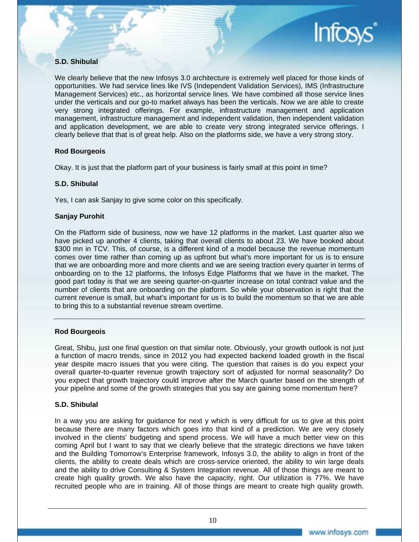

#### **S.D. Shibulal**

We clearly believe that the new Infosys 3.0 architecture is extremely well placed for those kinds of opportunities. We had service lines like IVS (Independent Validation Services), IMS (Infrastructure Management Services) etc., as horizontal service lines. We have combined all those service lines under the verticals and our go-to market always has been the verticals. Now we are able to create very strong integrated offerings. For example, infrastructure management and application management, infrastructure management and independent validation, then independent validation and application development, we are able to create very strong integrated service offerings. I clearly believe that that is of great help. Also on the platforms side, we have a very strong story.

#### **Rod Bourgeois**

Okay. It is just that the platform part of your business is fairly small at this point in time?

#### **S.D. Shibulal**

Yes, I can ask Sanjay to give some color on this specifically.

#### **Sanjay Purohit**

On the Platform side of business, now we have 12 platforms in the market. Last quarter also we have picked up another 4 clients, taking that overall clients to about 23. We have booked about \$300 mn in TCV. This, of course, is a different kind of a model because the revenue momentum comes over time rather than coming up as upfront but what's more important for us is to ensure that we are onboarding more and more clients and we are seeing traction every quarter in terms of onboarding on to the 12 platforms, the Infosys Edge Platforms that we have in the market. The good part today is that we are seeing quarter-on-quarter increase on total contract value and the number of clients that are onboarding on the platform. So while your observation is right that the current revenue is small, but what's important for us is to build the momentum so that we are able to bring this to a substantial revenue stream overtime.

#### **Rod Bourgeois**

Great, Shibu, just one final question on that similar note. Obviously, your growth outlook is not just a function of macro trends, since in 2012 you had expected backend loaded growth in the fiscal year despite macro issues that you were citing. The question that raises is do you expect your overall quarter-to-quarter revenue growth trajectory sort of adjusted for normal seasonality? Do you expect that growth trajectory could improve after the March quarter based on the strength of your pipeline and some of the growth strategies that you say are gaining some momentum here?

#### **S.D. Shibulal**

In a way you are asking for guidance for next y which is very difficult for us to give at this point because there are many factors which goes into that kind of a prediction. We are very closely involved in the clients' budgeting and spend process. We will have a much better view on this coming April but I want to say that we clearly believe that the strategic directions we have taken and the Building Tomorrow's Enterprise framework, Infosys 3.0, the ability to align in front of the clients, the ability to create deals which are cross-service oriented, the ability to win large deals and the ability to drive Consulting & System Integration revenue. All of those things are meant to create high quality growth. We also have the capacity, right. Our utilization is 77%. We have recruited people who are in training. All of those things are meant to create high quality growth.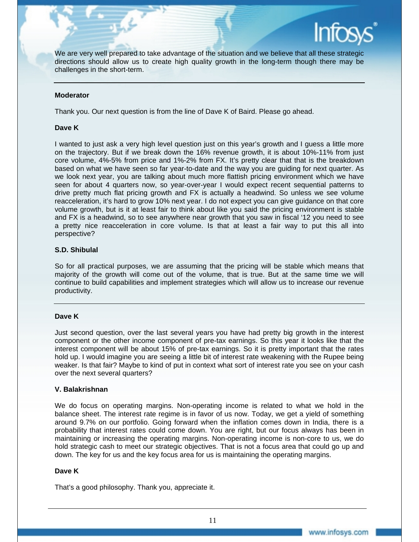

We are very well prepared to take advantage of the situation and we believe that all these strategic directions should allow us to create high quality growth in the long-term though there may be challenges in the short-term.

#### **Moderator**

Thank you. Our next question is from the line of Dave K of Baird. Please go ahead.

#### **Dave K**

I wanted to just ask a very high level question just on this year's growth and I guess a little more on the trajectory. But if we break down the 16% revenue growth, it is about 10%-11% from just core volume, 4%-5% from price and 1%-2% from FX. It's pretty clear that that is the breakdown based on what we have seen so far year-to-date and the way you are guiding for next quarter. As we look next year, you are talking about much more flattish pricing environment which we have seen for about 4 quarters now, so year-over-year I would expect recent sequential patterns to drive pretty much flat pricing growth and FX is actually a headwind. So unless we see volume reacceleration, it's hard to grow 10% next year. I do not expect you can give guidance on that core volume growth, but is it at least fair to think about like you said the pricing environment is stable and FX is a headwind, so to see anywhere near growth that you saw in fiscal '12 you need to see a pretty nice reacceleration in core volume. Is that at least a fair way to put this all into perspective?

#### **S.D. Shibulal**

So for all practical purposes, we are assuming that the pricing will be stable which means that majority of the growth will come out of the volume, that is true. But at the same time we will continue to build capabilities and implement strategies which will allow us to increase our revenue productivity.

#### **Dave K**

Just second question, over the last several years you have had pretty big growth in the interest component or the other income component of pre-tax earnings. So this year it looks like that the interest component will be about 15% of pre-tax earnings. So it is pretty important that the rates hold up. I would imagine you are seeing a little bit of interest rate weakening with the Rupee being weaker. Is that fair? Maybe to kind of put in context what sort of interest rate you see on your cash over the next several quarters?

#### **V. Balakrishnan**

We do focus on operating margins. Non-operating income is related to what we hold in the balance sheet. The interest rate regime is in favor of us now. Today, we get a yield of something around 9.7% on our portfolio. Going forward when the inflation comes down in India, there is a probability that interest rates could come down. You are right, but our focus always has been in maintaining or increasing the operating margins. Non-operating income is non-core to us, we do hold strategic cash to meet our strategic objectives. That is not a focus area that could go up and down. The key for us and the key focus area for us is maintaining the operating margins.

#### **Dave K**

That's a good philosophy. Thank you, appreciate it.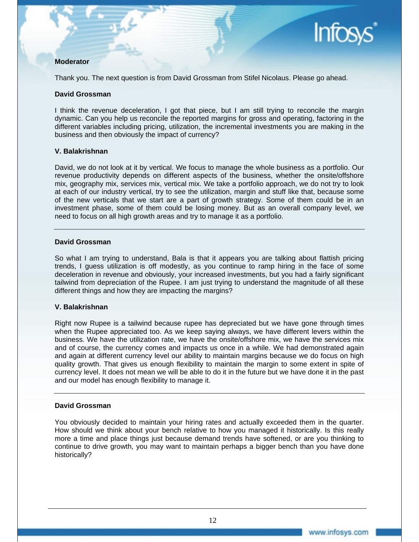#### **Moderator**

Thank you. The next question is from David Grossman from Stifel Nicolaus. Please go ahead.

#### **David Grossman**

I think the revenue deceleration, I got that piece, but I am still trying to reconcile the margin dynamic. Can you help us reconcile the reported margins for gross and operating, factoring in the different variables including pricing, utilization, the incremental investments you are making in the business and then obviously the impact of currency?

#### **V. Balakrishnan**

David, we do not look at it by vertical. We focus to manage the whole business as a portfolio. Our revenue productivity depends on different aspects of the business, whether the onsite/offshore mix, geography mix, services mix, vertical mix. We take a portfolio approach, we do not try to look at each of our industry vertical, try to see the utilization, margin and stuff like that, because some of the new verticals that we start are a part of growth strategy. Some of them could be in an investment phase, some of them could be losing money. But as an overall company level, we need to focus on all high growth areas and try to manage it as a portfolio.

#### **David Grossman**

So what I am trying to understand, Bala is that it appears you are talking about flattish pricing trends, I guess utilization is off modestly, as you continue to ramp hiring in the face of some deceleration in revenue and obviously, your increased investments, but you had a fairly significant tailwind from depreciation of the Rupee. I am just trying to understand the magnitude of all these different things and how they are impacting the margins?

#### **V. Balakrishnan**

Right now Rupee is a tailwind because rupee has depreciated but we have gone through times when the Rupee appreciated too. As we keep saying always, we have different levers within the business. We have the utilization rate, we have the onsite/offshore mix, we have the services mix and of course, the currency comes and impacts us once in a while. We had demonstrated again and again at different currency level our ability to maintain margins because we do focus on high quality growth. That gives us enough flexibility to maintain the margin to some extent in spite of currency level. It does not mean we will be able to do it in the future but we have done it in the past and our model has enough flexibility to manage it.

#### **David Grossman**

You obviously decided to maintain your hiring rates and actually exceeded them in the quarter. How should we think about your bench relative to how you managed it historically. Is this really more a time and place things just because demand trends have softened, or are you thinking to continue to drive growth, you may want to maintain perhaps a bigger bench than you have done historically?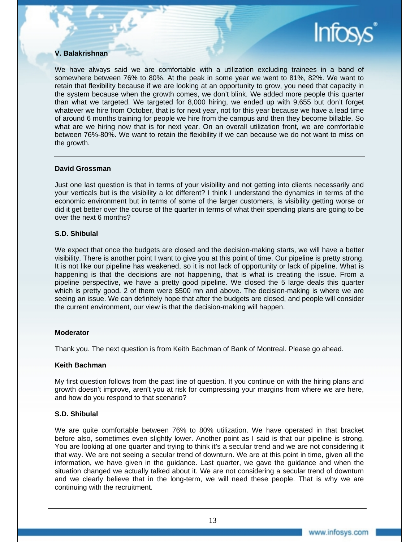#### **V. Balakrishnan**

We have always said we are comfortable with a utilization excluding trainees in a band of somewhere between 76% to 80%. At the peak in some year we went to 81%, 82%. We want to retain that flexibility because if we are looking at an opportunity to grow, you need that capacity in the system because when the growth comes, we don't blink. We added more people this quarter than what we targeted. We targeted for 8,000 hiring, we ended up with 9,655 but don't forget whatever we hire from October, that is for next year, not for this year because we have a lead time of around 6 months training for people we hire from the campus and then they become billable. So what are we hiring now that is for next year. On an overall utilization front, we are comfortable between 76%-80%. We want to retain the flexibility if we can because we do not want to miss on the growth.

#### **David Grossman**

Just one last question is that in terms of your visibility and not getting into clients necessarily and your verticals but is the visibility a lot different? I think I understand the dynamics in terms of the economic environment but in terms of some of the larger customers, is visibility getting worse or did it get better over the course of the quarter in terms of what their spending plans are going to be over the next 6 months?

#### **S.D. Shibulal**

We expect that once the budgets are closed and the decision-making starts, we will have a better visibility. There is another point I want to give you at this point of time. Our pipeline is pretty strong. It is not like our pipeline has weakened, so it is not lack of opportunity or lack of pipeline. What is happening is that the decisions are not happening, that is what is creating the issue. From a pipeline perspective, we have a pretty good pipeline. We closed the 5 large deals this quarter which is pretty good. 2 of them were \$500 mn and above. The decision-making is where we are seeing an issue. We can definitely hope that after the budgets are closed, and people will consider the current environment, our view is that the decision-making will happen.

#### **Moderator**

Thank you. The next question is from Keith Bachman of Bank of Montreal. Please go ahead.

#### **Keith Bachman**

My first question follows from the past line of question. If you continue on with the hiring plans and growth doesn't improve, aren't you at risk for compressing your margins from where we are here, and how do you respond to that scenario?

#### **S.D. Shibulal**

We are quite comfortable between 76% to 80% utilization. We have operated in that bracket before also, sometimes even slightly lower. Another point as I said is that our pipeline is strong. You are looking at one quarter and trying to think it's a secular trend and we are not considering it that way. We are not seeing a secular trend of downturn. We are at this point in time, given all the information, we have given in the guidance. Last quarter, we gave the guidance and when the situation changed we actually talked about it. We are not considering a secular trend of downturn and we clearly believe that in the long-term, we will need these people. That is why we are continuing with the recruitment.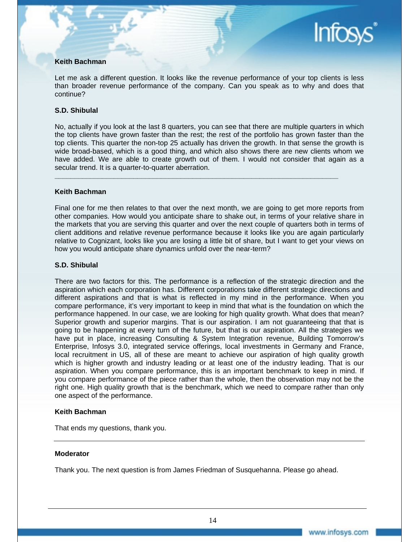#### **Keith Bachman**

Let me ask a different question. It looks like the revenue performance of your top clients is less than broader revenue performance of the company. Can you speak as to why and does that continue?

#### **S.D. Shibulal**

No, actually if you look at the last 8 quarters, you can see that there are multiple quarters in which the top clients have grown faster than the rest; the rest of the portfolio has grown faster than the top clients. This quarter the non-top 25 actually has driven the growth. In that sense the growth is wide broad-based, which is a good thing, and which also shows there are new clients whom we have added. We are able to create growth out of them. I would not consider that again as a secular trend. It is a quarter-to-quarter aberration.

**\_\_\_\_\_\_\_\_\_\_\_\_\_\_\_\_\_\_\_\_\_\_\_\_\_\_\_\_\_\_\_\_\_\_\_\_\_\_\_\_\_\_\_\_\_\_\_\_\_\_\_\_\_\_\_\_\_\_\_\_\_\_\_\_\_\_\_\_\_\_\_\_** 

#### **Keith Bachman**

Final one for me then relates to that over the next month, we are going to get more reports from other companies. How would you anticipate share to shake out, in terms of your relative share in the markets that you are serving this quarter and over the next couple of quarters both in terms of client additions and relative revenue performance because it looks like you are again particularly relative to Cognizant, looks like you are losing a little bit of share, but I want to get your views on how you would anticipate share dynamics unfold over the near-term?

#### **S.D. Shibulal**

There are two factors for this. The performance is a reflection of the strategic direction and the aspiration which each corporation has. Different corporations take different strategic directions and different aspirations and that is what is reflected in my mind in the performance. When you compare performance, it's very important to keep in mind that what is the foundation on which the performance happened. In our case, we are looking for high quality growth. What does that mean? Superior growth and superior margins. That is our aspiration. I am not guaranteeing that that is going to be happening at every turn of the future, but that is our aspiration. All the strategies we have put in place, increasing Consulting & System Integration revenue, Building Tomorrow's Enterprise, Infosys 3.0, integrated service offerings, local investments in Germany and France, local recruitment in US, all of these are meant to achieve our aspiration of high quality growth which is higher growth and industry leading or at least one of the industry leading. That is our aspiration. When you compare performance, this is an important benchmark to keep in mind. If you compare performance of the piece rather than the whole, then the observation may not be the right one. High quality growth that is the benchmark, which we need to compare rather than only one aspect of the performance.

#### **Keith Bachman**

That ends my questions, thank you.

#### **Moderator**

Thank you. The next question is from James Friedman of Susquehanna. Please go ahead.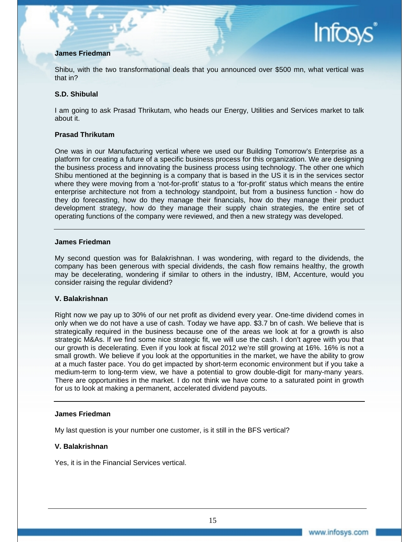#### **James Friedman**

Shibu, with the two transformational deals that you announced over \$500 mn, what vertical was that in?

#### **S.D. Shibulal**

I am going to ask Prasad Thrikutam, who heads our Energy, Utilities and Services market to talk about it.

#### **Prasad Thrikutam**

One was in our Manufacturing vertical where we used our Building Tomorrow's Enterprise as a platform for creating a future of a specific business process for this organization. We are designing the business process and innovating the business process using technology. The other one which Shibu mentioned at the beginning is a company that is based in the US it is in the services sector where they were moving from a 'not-for-profit' status to a 'for-profit' status which means the entire enterprise architecture not from a technology standpoint, but from a business function - how do they do forecasting, how do they manage their financials, how do they manage their product development strategy, how do they manage their supply chain strategies, the entire set of operating functions of the company were reviewed, and then a new strategy was developed.

#### **James Friedman**

My second question was for Balakrishnan. I was wondering, with regard to the dividends, the company has been generous with special dividends, the cash flow remains healthy, the growth may be decelerating, wondering if similar to others in the industry, IBM, Accenture, would you consider raising the regular dividend?

#### **V. Balakrishnan**

Right now we pay up to 30% of our net profit as dividend every year. One-time dividend comes in only when we do not have a use of cash. Today we have app. \$3.7 bn of cash. We believe that is strategically required in the business because one of the areas we look at for a growth is also strategic M&As. If we find some nice strategic fit, we will use the cash. I don't agree with you that our growth is decelerating. Even if you look at fiscal 2012 we're still growing at 16%. 16% is not a small growth. We believe if you look at the opportunities in the market, we have the ability to grow at a much faster pace. You do get impacted by short-term economic environment but if you take a medium-term to long-term view, we have a potential to grow double-digit for many-many years. There are opportunities in the market. I do not think we have come to a saturated point in growth for us to look at making a permanent, accelerated dividend payouts.

#### **James Friedman**

My last question is your number one customer, is it still in the BFS vertical?

#### **V. Balakrishnan**

Yes, it is in the Financial Services vertical.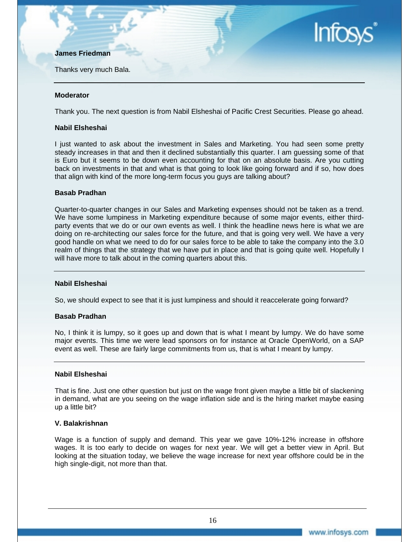#### **James Friedman**

Thanks very much Bala.

# **Infos**

#### **Moderator**

Thank you. The next question is from Nabil Elsheshai of Pacific Crest Securities. Please go ahead.

#### **Nabil Elsheshai**

I just wanted to ask about the investment in Sales and Marketing. You had seen some pretty steady increases in that and then it declined substantially this quarter. I am guessing some of that is Euro but it seems to be down even accounting for that on an absolute basis. Are you cutting back on investments in that and what is that going to look like going forward and if so, how does that align with kind of the more long-term focus you guys are talking about?

#### **Basab Pradhan**

Quarter-to-quarter changes in our Sales and Marketing expenses should not be taken as a trend. We have some lumpiness in Marketing expenditure because of some major events, either thirdparty events that we do or our own events as well. I think the headline news here is what we are doing on re-architecting our sales force for the future, and that is going very well. We have a very good handle on what we need to do for our sales force to be able to take the company into the 3.0 realm of things that the strategy that we have put in place and that is going quite well. Hopefully I will have more to talk about in the coming quarters about this.

#### **Nabil Elsheshai**

So, we should expect to see that it is just lumpiness and should it reaccelerate going forward?

#### **Basab Pradhan**

No, I think it is lumpy, so it goes up and down that is what I meant by lumpy. We do have some major events. This time we were lead sponsors on for instance at Oracle OpenWorld, on a SAP event as well. These are fairly large commitments from us, that is what I meant by lumpy.

#### **Nabil Elsheshai**

That is fine. Just one other question but just on the wage front given maybe a little bit of slackening in demand, what are you seeing on the wage inflation side and is the hiring market maybe easing up a little bit?

#### **V. Balakrishnan**

Wage is a function of supply and demand. This year we gave 10%-12% increase in offshore wages. It is too early to decide on wages for next year. We will get a better view in April. But looking at the situation today, we believe the wage increase for next year offshore could be in the high single-digit, not more than that.